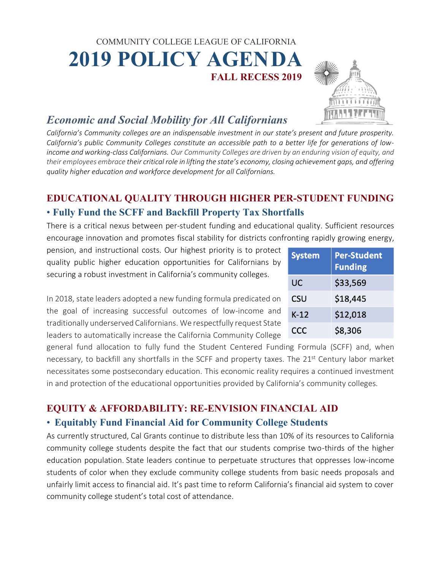# COMMUNITY COLLEGE LEAGUE OF CALIFORNIA  **2019 POLICY AGENDA FALL RECESS 2019**



# *Economic and Social Mobility for All Californians*

*California's Community colleges are an indispensable investment in our state's present and future prosperity. California's public Community Colleges constitute an accessible path to a better life for generations of lowincome and working-class Californians. Our Community Colleges are driven by an enduring vision of equity, and their employees embrace their critical role in lifting the state's economy, closing achievement gaps, and offering quality higher education and workforce development for all Californians.*

## **EDUCATIONAL QUALITY THROUGH HIGHER PER-STUDENT FUNDING** • **Fully Fund the SCFF and Backfill Property Tax Shortfalls**

There is a critical nexus between per-student funding and educational quality. Sufficient resources encourage innovation and promotes fiscal stability for districts confronting rapidly growing energy,

pension, and instructional costs. Our highest priority is to protect quality public higher education opportunities for Californians by securing a robust investment in California's community colleges.

In 2018, state leaders adopted a new funding formula predicated on the goal of increasing successful outcomes of low-income and traditionally underserved Californians. We respectfully request State leaders to automatically increase the California Community College

general fund allocation to fully fund the Student Centered Funding Formula (SCFF) and, when necessary, to backfill any shortfalls in the SCFF and property taxes. The 21<sup>st</sup> Century labor market necessitates some postsecondary education. This economic reality requires a continued investment in and protection of the educational opportunities provided by California's community colleges.

## **EQUITY & AFFORDABILITY: RE-ENVISION FINANCIAL AID**

#### • **Equitably Fund Financial Aid for Community College Students**

As currently structured, Cal Grants continue to distribute less than 10% of its resources to California community college students despite the fact that our students comprise two-thirds of the higher education population. State leaders continue to perpetuate structures that oppresses low-income students of color when they exclude community college students from basic needs proposals and unfairly limit access to financial aid. It's past time to reform California's financial aid system to cover community college student's total cost of attendance.

| <b>System</b> | <b>Per-Student</b><br><b>Funding</b> |
|---------------|--------------------------------------|
| UC            | \$33,569                             |
| CSU           | \$18,445                             |
| $K-12$        | \$12,018                             |
| <b>CCC</b>    | \$8,306                              |